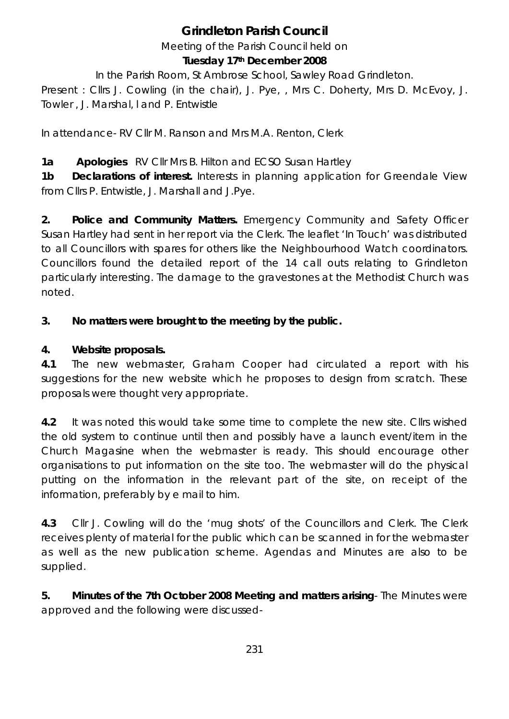# **Grindleton Parish Council**

Meeting of the Parish Council held on

#### **Tuesday 17th December 2008**

In the Parish Room, St Ambrose School, Sawley Road Grindleton.

Present : Cllrs J. Cowling (in the chair), J. Pye, , Mrs C. Doherty, Mrs D. McEvoy, J. Towler , J. Marshal, l and P. Entwistle

In attendance- RV Cllr M. Ranson and Mrs M.A. Renton, Clerk

**1a Apologies** RV Cllr Mrs B. Hilton and ECSO Susan Hartley

**1b Declarations of interest.** Interests in planning application for Greendale View from Cllrs P. Entwistle, J. Marshall and J.Pye.

**2. Police and Community Matters.** Emergency Community and Safety Officer Susan Hartley had sent in her report via the Clerk. The leaflet 'In Touch' was distributed to all Councillors with spares for others like the Neighbourhood Watch coordinators. Councillors found the detailed report of the 14 call outs relating to Grindleton particularly interesting. The damage to the gravestones at the Methodist Church was noted.

## **3. No matters were brought to the meeting by the public.**

## **4. Website proposals.**

**4.1** The new webmaster, Graham Cooper had circulated a report with his suggestions for the new website which he proposes to design from scratch. These proposals were thought very appropriate.

**4.2** It was noted this would take some time to complete the new site. Cllrs wished the old system to continue until then and possibly have a launch event/item in the Church Magasine when the webmaster is ready. This should encourage other organisations to put information on the site too. The webmaster will do the physical putting on the information in the relevant part of the site, on receipt of the information, preferably by e mail to him.

**4.3** Cllr J. Cowling will do the 'mug shots' of the Councillors and Clerk. The Clerk receives plenty of material for the public which can be scanned in for the webmaster as well as the new publication scheme. Agendas and Minutes are also to be supplied.

**5. Minutes of the 7th October 2008 Meeting and matters arising**- The Minutes were approved and the following were discussed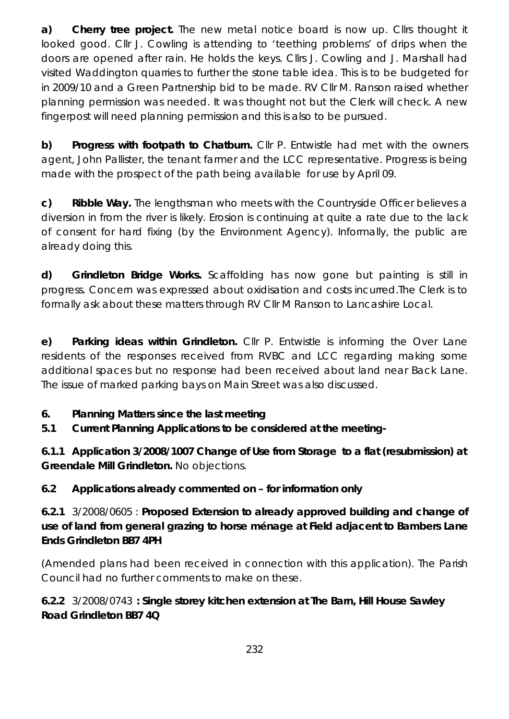**a) Cherry tree project.** The new metal notice board is now up. Cllrs thought it looked good. Cllr J. Cowling is attending to 'teething problems' of drips when the doors are opened after rain. He holds the keys. Cllrs J. Cowling and J. Marshall had visited Waddington quarries to further the stone table idea. This is to be budgeted for in 2009/10 and a Green Partnership bid to be made. RV Cllr M. Ranson raised whether planning permission was needed. It was thought not but the Clerk will check. A new fingerpost will need planning permission and this is also to be pursued.

**b) Progress with footpath to Chatburn.** Cllr P. Entwistle had met with the owners agent, John Pallister, the tenant farmer and the LCC representative. Progress is being made with the prospect of the path being available for use by April 09.

**c) Ribble Way.** The lengthsman who meets with the Countryside Officer believes a diversion in from the river is likely. Erosion is continuing at quite a rate due to the lack of consent for hard fixing (by the Environment Agency). Informally, the public are already doing this.

**d) Grindleton Bridge Works.** Scaffolding has now gone but painting is still in progress. Concern was expressed about oxidisation and costs incurred.The Clerk is to formally ask about these matters through RV Cllr M Ranson to Lancashire Local.

**e) Parking ideas within Grindleton.** Cllr P. Entwistle is informing the Over Lane residents of the responses received from RVBC and LCC regarding making some additional spaces but no response had been received about land near Back Lane. The issue of marked parking bays on Main Street was also discussed.

#### **6. Planning Matters since the last meeting**

**5.1 Current Planning Applications to be considered at the meeting-**

**6.1.1 Application 3/2008/1007 Change of Use from Storage to a flat (resubmission) at Greendale Mill Grindleton.** No objections.

#### **6.2 Applications already commented on – for information only**

**6.2.1** 3/2008/0605 : **Proposed Extension to already approved building and change of use of land from general grazing to horse ménage at Field adjacent to Bambers Lane Ends Grindleton BB7 4PH** 

(Amended plans had been received in connection with this application). The Parish Council had no further comments to make on these.

#### **6.2.2** 3/2008/0743 **: Single storey kitchen extension at The Barn, Hill House Sawley Road Grindleton BB7 4Q**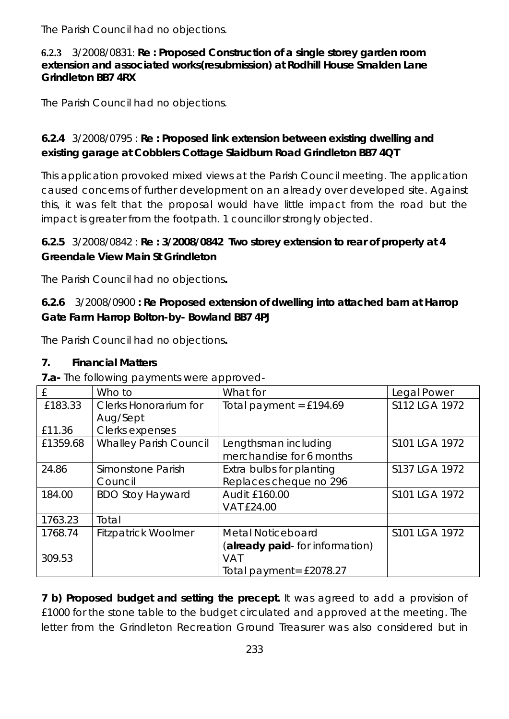The Parish Council had no objections.

#### **6.2.3** 3/2008/0831: **Re : Proposed Construction of a single storey garden room extension and associated works(resubmission) at Rodhill House Smalden Lane Grindleton BB7 4RX**

The Parish Council had no objections.

#### **6.2.4** 3/2008/0795 : **Re : Proposed link extension between existing dwelling and existing garage at Cobblers Cottage Slaidburn Road Grindleton BB7 4QT**

This application provoked mixed views at the Parish Council meeting. The application caused concerns of further development on an already over developed site. Against this, it was felt that the proposal would have little impact from the road but the impact is greater from the footpath. 1 councillor strongly objected.

## **6.2.5** 3/2008/0842 : **Re : 3/2008/0842 Two storey extension to rear of property at 4 Greendale View Main St Grindleton**

The Parish Council had no objections**.** 

#### **6.2.6** 3/2008/0900 **: Re Proposed extension of dwelling into attached barn at Harrop Gate Farm Harrop Bolton-by- Bowland BB7 4PJ**

The Parish Council had no objections**.** 

#### **7. Financial Matters**

**7.a-** The following payments were approved-

| . ا      |                               |                                 |               |
|----------|-------------------------------|---------------------------------|---------------|
| £        | Who to                        | What for                        | Legal Power   |
| £183.33  | <b>Clerks Honorarium for</b>  | Total payment = $£194.69$       | S112 LGA 1972 |
|          | Aug/Sept                      |                                 |               |
| £11.36   | Clerks expenses               |                                 |               |
| £1359.68 | <b>Whalley Parish Council</b> | Lengthsman including            | S101 LGA 1972 |
|          |                               | merchandise for 6 months        |               |
| 24.86    | Simonstone Parish             | Extra bulbs for planting        | S137 LGA 1972 |
|          | Council                       | Replaces cheque no 296          |               |
| 184.00   | <b>BDO Stoy Hayward</b>       | <b>Audit £160.00</b>            | S101 LGA 1972 |
|          |                               | <b>VAT £24.00</b>               |               |
| 1763.23  | Total                         |                                 |               |
| 1768.74  | <b>Fitzpatrick Woolmer</b>    | Metal Noticeboard               | S101 LGA 1972 |
|          |                               | (already paid- for information) |               |
| 309.53   |                               | <b>VAT</b>                      |               |
|          |                               | Total payment= £2078.27         |               |

**7 b) Proposed budget and setting the precept.** It was agreed to add a provision of £1000 for the stone table to the budget circulated and approved at the meeting. The letter from the Grindleton Recreation Ground Treasurer was also considered but in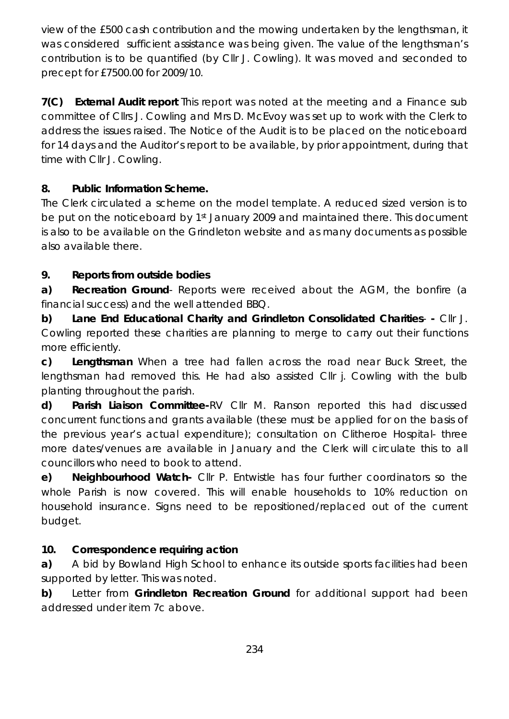view of the £500 cash contribution and the mowing undertaken by the lengthsman, it was considered sufficient assistance was being given. The value of the lengthsman's contribution is to be quantified (by Cllr J. Cowling). It was moved and seconded to precept for £7500.00 for 2009/10.

**7(C) External Audit report** This report was noted at the meeting and a Finance sub committee of Cllrs J. Cowling and Mrs D. McEvoy was set up to work with the Clerk to address the issues raised. The Notice of the Audit is to be placed on the noticeboard for 14 days and the Auditor's report to be available, by prior appointment, during that time with Cllr J. Cowling.

#### **8. Public Information Scheme.**

The Clerk circulated a scheme on the model template. A reduced sized version is to be put on the noticeboard by 1<sup>st</sup> January 2009 and maintained there. This document is also to be available on the Grindleton website and as many documents as possible also available there.

#### **9. Reports from outside bodies**

**a) Recreation Ground**- Reports were received about the AGM, the bonfire (a financial success) and the well attended BBQ.

**b) Lane End Educational Charity and Grindleton Consolidated Charities**- **-** Cllr J. Cowling reported these charities are planning to merge to carry out their functions more efficiently.

**c) Lengthsman** When a tree had fallen across the road near Buck Street, the lengthsman had removed this. He had also assisted Cllr j. Cowling with the bulb planting throughout the parish.

**d) Parish Liaison Committee-**RV Cllr M. Ranson reported this had discussed concurrent functions and grants available (these must be applied for on the basis of the previous year's actual expenditure); consultation on Clitheroe Hospital- three more dates/venues are available in January and the Clerk will circulate this to all councillors who need to book to attend.

**e) Neighbourhood Watch-** Cllr P. Entwistle has four further coordinators so the whole Parish is now covered. This will enable households to 10% reduction on household insurance. Signs need to be repositioned/replaced out of the current budget.

#### **10. Correspondence requiring action**

**a)** A bid by Bowland High School to enhance its outside sports facilities had been supported by letter. This was noted.

**b)** Letter from **Grindleton Recreation Ground** for additional support had been addressed under item 7c above.